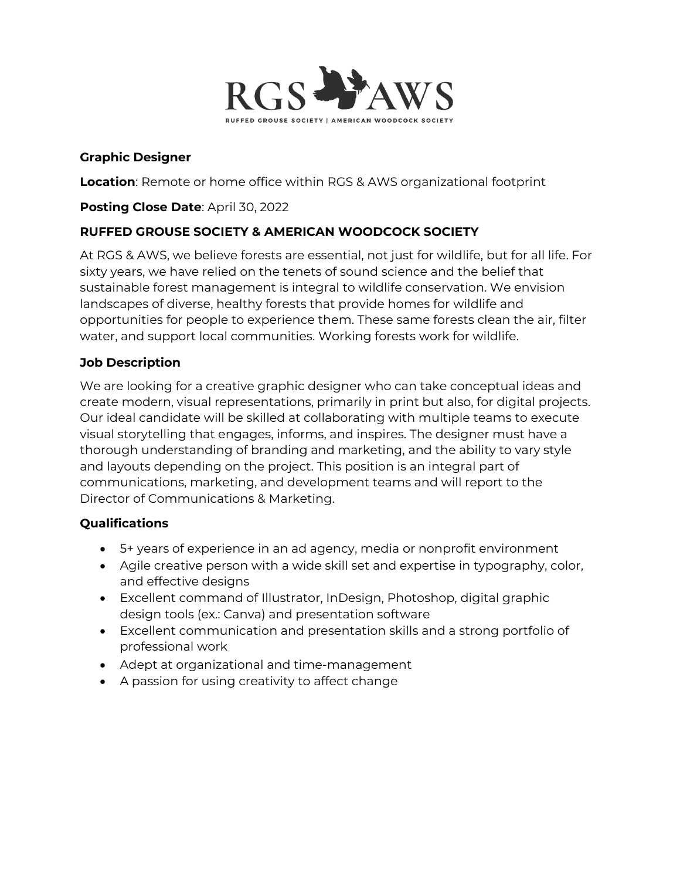

### **Graphic Designer**

**Location**: Remote or home office within RGS & AWS organizational footprint

### **Posting Close Date**: April 30, 2022

# **RUFFED GROUSE SOCIETY & AMERICAN WOODCOCK SOCIETY**

At RGS & AWS, we believe forests are essential, not just for wildlife, but for all life. For sixty years, we have relied on the tenets of sound science and the belief that sustainable forest management is integral to wildlife conservation. We envision landscapes of diverse, healthy forests that provide homes for wildlife and opportunities for people to experience them. These same forests clean the air, filter water, and support local communities. Working forests work for wildlife.

#### **Job Description**

We are looking for a creative graphic designer who can take conceptual ideas and create modern, visual representations, primarily in print but also, for digital projects. Our ideal candidate will be skilled at collaborating with multiple teams to execute visual storytelling that engages, informs, and inspires. The designer must have a thorough understanding of branding and marketing, and the ability to vary style and layouts depending on the project. This position is an integral part of communications, marketing, and development teams and will report to the Director of Communications & Marketing.

#### **Qualifications**

- 5+ years of experience in an ad agency, media or nonprofit environment
- Agile creative person with a wide skill set and expertise in typography, color, and effective designs
- Excellent command of Illustrator, InDesign, Photoshop, digital graphic design tools (ex.: Canva) and presentation software
- Excellent communication and presentation skills and a strong portfolio of professional work
- Adept at organizational and time-management
- A passion for using creativity to affect change